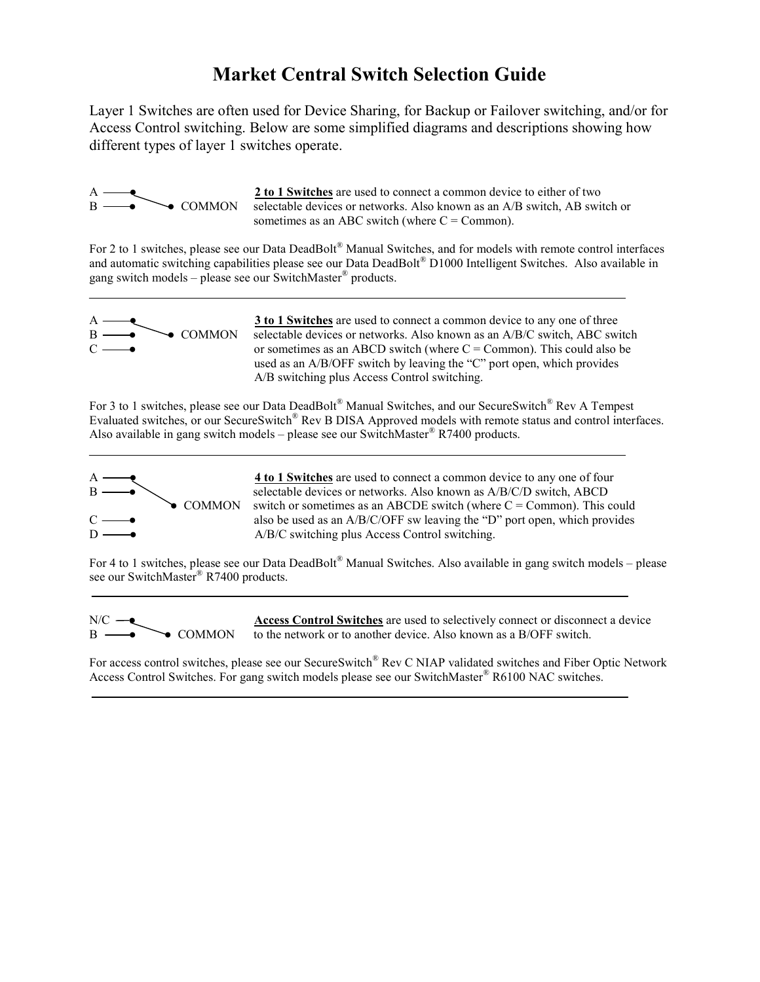# Market Central Switch Selection Guide

Layer 1 Switches are often used for Device Sharing, for Backup or Failover switching, and/or for Access Control switching. Below are some simplified diagrams and descriptions showing how different types of layer 1 switches operate.



 $\frac{2 \text{ to } 1 \text{ Switches}}{2 \text{ clockwise devices}}$  COMMON selectable devices or networks. Also known as an A/B switch, AB switch selectable devices or networks. Also known as an A/B switch, AB switch or sometimes as an ABC switch (where  $C = \text{Common}$ ).

For 2 to 1 switches, please see our Data DeadBolt® Manual Switches, and for models with remote control interfaces and automatic switching capabilities please see our Data DeadBolt® D1000 Intelligent Switches. Also available in gang switch models – please see our SwitchMaster® products.



 $\frac{3 \text{ to } 1 \text{ Switches}}{3 \text{ electrons}}$  are used to connect a common device to any one of three<br>  $\bullet$  COMMON selectable devices or networks. Also known as an A/B/C switch, ABC swi  $B \longrightarrow$  COMMON selectable devices or networks. Also known as an A/B/C switch, ABC switch  $C \longrightarrow \qquad \qquad$  or sometimes as an ABCD switch (where  $C = \text{Common}$ ). This could also be used as an A/B/OFF switch by leaving the "C" port open, which provides A/B switching plus Access Control switching.

For 3 to 1 switches, please see our Data DeadBolt® Manual Switches, and our SecureSwitch® Rev A Tempest Evaluated switches, or our SecureSwitch<sup>®</sup> Rev B DISA Approved models with remote status and control interfaces. Also available in gang switch models – please see our SwitchMaster® R7400 products.



 $A \rightarrow A$   $\rightarrow$  4 to 1 Switches are used to connect a common device to any one of four  $B \longrightarrow$  selectable devices or networks. Also known as A/B/C/D switch, ABCD  $\bullet$  COMMON switch or sometimes as an ABCDE switch (where C = Common). This could  $C \longrightarrow$  also be used as an A/B/C/OFF sw leaving the "D" port open, which provides  $D \longrightarrow A/B/C$  switching plus Access Control switching.

For 4 to 1 switches, please see our Data DeadBolt® Manual Switches. Also available in gang switch models – please see our SwitchMaster<sup>®</sup> R7400 products.



N/C  $\rightarrow$  Access Control Switches are used to selectively connect or disconnect a device  $B \longrightarrow$  COMMON to the network or to another device. Also known as a B/OFF switch.

For access control switches, please see our SecureSwitch® Rev C NIAP validated switches and Fiber Optic Network Access Control Switches. For gang switch models please see our SwitchMaster® R6100 NAC switches.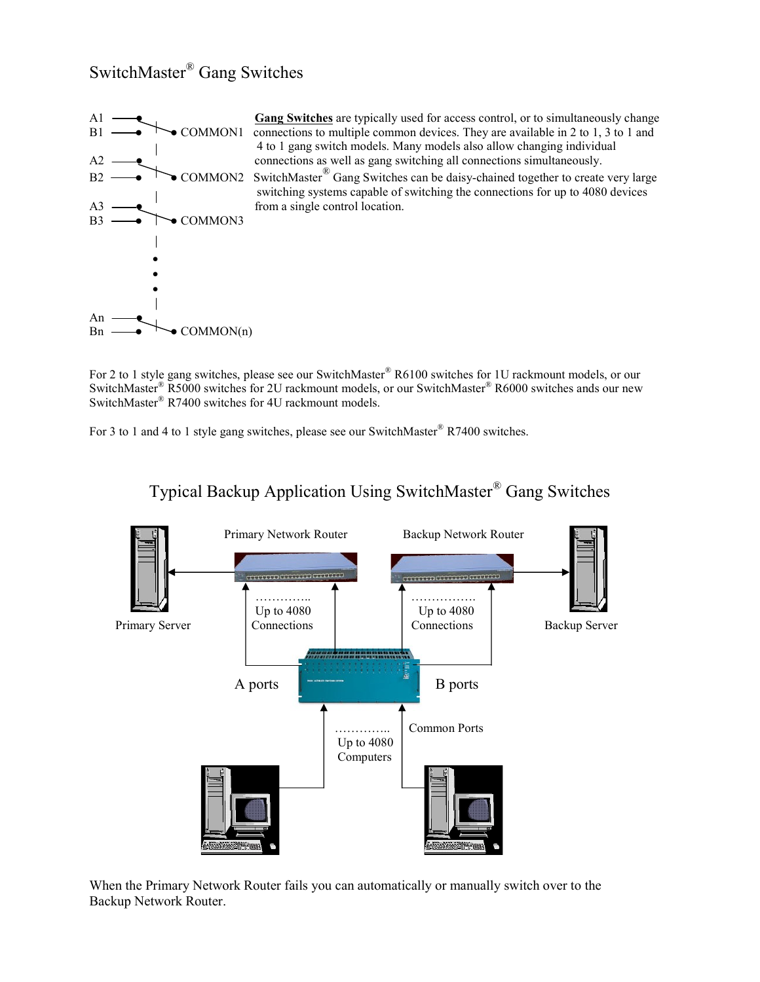## SwitchMaster® Gang Switches



 $A1 \longrightarrow$  Gang Switches are typically used for access control, or to simultaneously change  $B1 \longrightarrow$  COMMON1 connections to multiple common devices. They are available in 2 to 1, 3 to 1 and 4 to 1 gang switch models. Many models also allow changing individual  $A2 \longrightarrow$  connections as well as gang switching all connections simultaneously. B2 
COMMON2 SwitchMaster<sup>®</sup> Gang Switches can be daisy-chained together to create very large switching systems capable of switching the connections for up to 4080 devices

For 2 to 1 style gang switches, please see our SwitchMaster® R6100 switches for 1U rackmount models, or our SwitchMaster<sup>®</sup> R5000 switches for 2U rackmount models, or our SwitchMaster<sup>®</sup> R6000 switches ands our new SwitchMaster® R7400 switches for 4U rackmount models.

For 3 to 1 and 4 to 1 style gang switches, please see our SwitchMaster® R7400 switches.



## Typical Backup Application Using SwitchMaster® Gang Switches

When the Primary Network Router fails you can automatically or manually switch over to the Backup Network Router.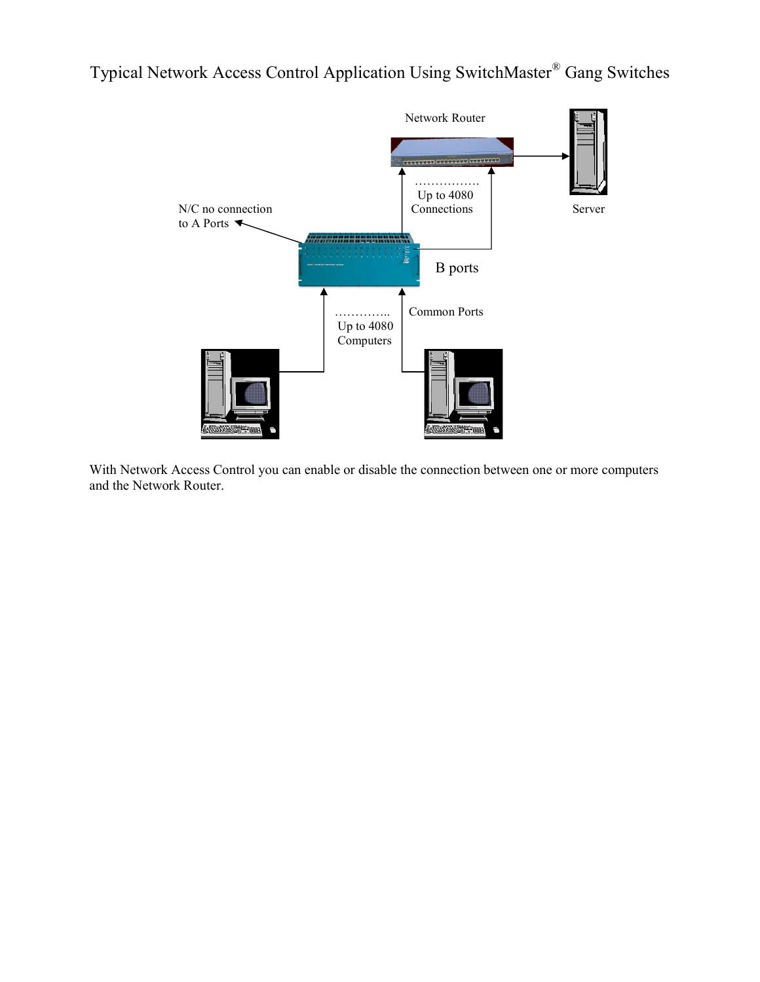### Typical Network Access Control Application Using SwitchMaster® Gang Switches



With Network Access Control you can enable or disable the connection between one or more computers and the Network Router.